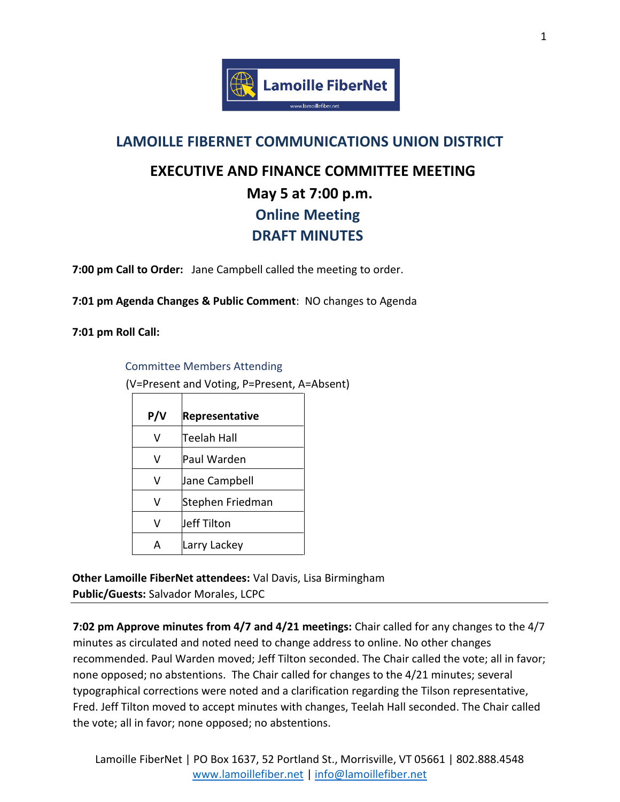

## **LAMOILLE FIBERNET COMMUNICATIONS UNION DISTRICT**

## **EXECUTIVE AND FINANCE COMMITTEE MEETING May 5 at 7:00 p.m. Online Meeting DRAFT MINUTES**

**7:00 pm Call to Order:** Jane Campbell called the meeting to order.

**7:01 pm Agenda Changes & Public Comment**: NO changes to Agenda

**7:01 pm Roll Call:** 

Committee Members Attending

(V=Present and Voting, P=Present, A=Absent)

| P/V | <b>Representative</b> |
|-----|-----------------------|
| v   | Teelah Hall           |
| v   | Paul Warden           |
| v   | Jane Campbell         |
| v   | Stephen Friedman      |
| v   | Jeff Tilton           |
| Δ   | Larry Lackey          |

**Other Lamoille FiberNet attendees:** Val Davis, Lisa Birmingham **Public/Guests:** Salvador Morales, LCPC

**7:02 pm Approve minutes from 4/7 and 4/21 meetings:** Chair called for any changes to the 4/7 minutes as circulated and noted need to change address to online. No other changes recommended. Paul Warden moved; Jeff Tilton seconded. The Chair called the vote; all in favor; none opposed; no abstentions. The Chair called for changes to the 4/21 minutes; several typographical corrections were noted and a clarification regarding the Tilson representative, Fred. Jeff Tilton moved to accept minutes with changes, Teelah Hall seconded. The Chair called the vote; all in favor; none opposed; no abstentions.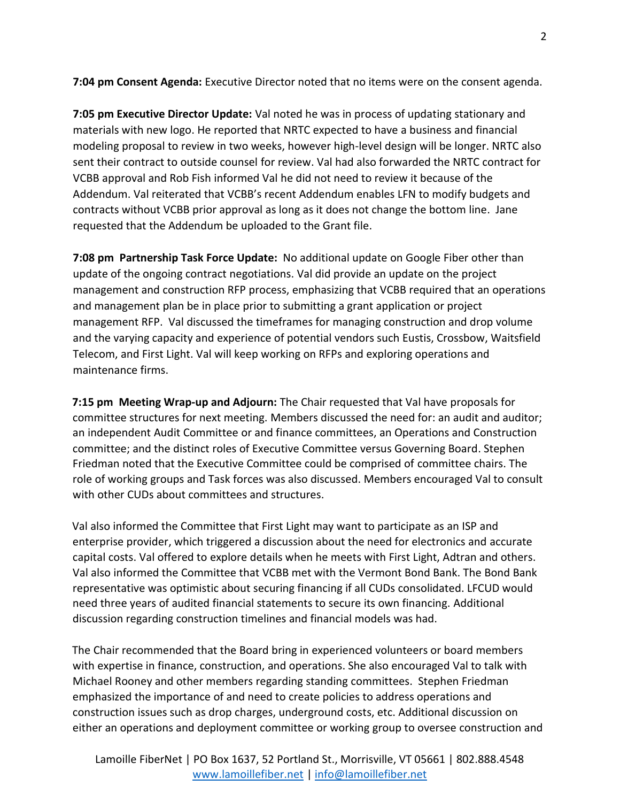**7:04 pm Consent Agenda:** Executive Director noted that no items were on the consent agenda.

**7:05 pm Executive Director Update:** Val noted he was in process of updating stationary and materials with new logo. He reported that NRTC expected to have a business and financial modeling proposal to review in two weeks, however high-level design will be longer. NRTC also sent their contract to outside counsel for review. Val had also forwarded the NRTC contract for VCBB approval and Rob Fish informed Val he did not need to review it because of the Addendum. Val reiterated that VCBB's recent Addendum enables LFN to modify budgets and contracts without VCBB prior approval as long as it does not change the bottom line. Jane requested that the Addendum be uploaded to the Grant file.

**7:08 pm Partnership Task Force Update:** No additional update on Google Fiber other than update of the ongoing contract negotiations. Val did provide an update on the project management and construction RFP process, emphasizing that VCBB required that an operations and management plan be in place prior to submitting a grant application or project management RFP. Val discussed the timeframes for managing construction and drop volume and the varying capacity and experience of potential vendors such Eustis, Crossbow, Waitsfield Telecom, and First Light. Val will keep working on RFPs and exploring operations and maintenance firms.

**7:15 pm Meeting Wrap-up and Adjourn:** The Chair requested that Val have proposals for committee structures for next meeting. Members discussed the need for: an audit and auditor; an independent Audit Committee or and finance committees, an Operations and Construction committee; and the distinct roles of Executive Committee versus Governing Board. Stephen Friedman noted that the Executive Committee could be comprised of committee chairs. The role of working groups and Task forces was also discussed. Members encouraged Val to consult with other CUDs about committees and structures.

Val also informed the Committee that First Light may want to participate as an ISP and enterprise provider, which triggered a discussion about the need for electronics and accurate capital costs. Val offered to explore details when he meets with First Light, Adtran and others. Val also informed the Committee that VCBB met with the Vermont Bond Bank. The Bond Bank representative was optimistic about securing financing if all CUDs consolidated. LFCUD would need three years of audited financial statements to secure its own financing. Additional discussion regarding construction timelines and financial models was had.

The Chair recommended that the Board bring in experienced volunteers or board members with expertise in finance, construction, and operations. She also encouraged Val to talk with Michael Rooney and other members regarding standing committees. Stephen Friedman emphasized the importance of and need to create policies to address operations and construction issues such as drop charges, underground costs, etc. Additional discussion on either an operations and deployment committee or working group to oversee construction and